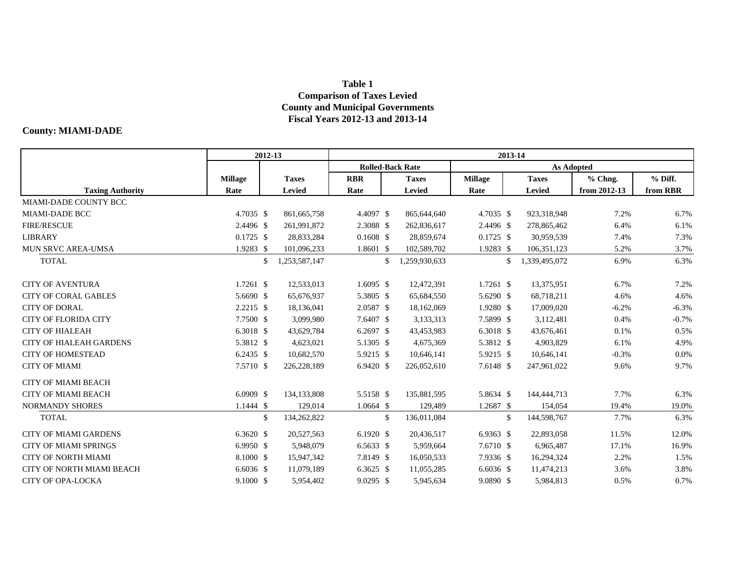## **Table 1 Comparison of Taxes Levied County and Municipal Governments Fiscal Years 2012-13 and 2013-14**

## **County: MIAMI-DADE**

|                                  | 2012-13        |                     |             | 2013-14                 |               |                |            |               |              |          |  |  |  |
|----------------------------------|----------------|---------------------|-------------|-------------------------|---------------|----------------|------------|---------------|--------------|----------|--|--|--|
|                                  |                |                     |             | <b>Rolled-Back Rate</b> |               |                | As Adopted |               |              |          |  |  |  |
|                                  | <b>Millage</b> | <b>Taxes</b>        | <b>RBR</b>  |                         | <b>Taxes</b>  | <b>Millage</b> |            | <b>Taxes</b>  | % Chng.      | % Diff.  |  |  |  |
| <b>Taxing Authority</b>          | Rate           | <b>Levied</b>       | Rate        |                         | Levied        | Rate           |            | <b>Levied</b> | from 2012-13 | from RBR |  |  |  |
| MIAMI-DADE COUNTY BCC            |                |                     |             |                         |               |                |            |               |              |          |  |  |  |
| <b>MIAMI-DADE BCC</b>            | 4.7035 \$      | 861, 665, 758       | 4.4097 \$   |                         | 865,644,640   | 4.7035 \$      |            | 923,318,948   | 7.2%         | 6.7%     |  |  |  |
| <b>FIRE/RESCUE</b>               | 2.4496 \$      | 261,991,872         | 2.3088 \$   |                         | 262,836,617   | 2.4496 \$      |            | 278,865,462   | 6.4%         | 6.1%     |  |  |  |
| <b>LIBRARY</b>                   | $0.1725$ \$    | 28,833,284          | $0.1608$ \$ |                         | 28,859,674    | $0.1725$ \$    |            | 30,959,539    | 7.4%         | 7.3%     |  |  |  |
| MUN SRVC AREA-UMSA               | 1.9283 \$      | 101,096,233         | 1.8601 \$   |                         | 102,589,702   | 1.9283 \$      |            | 106,351,123   | 5.2%         | 3.7%     |  |  |  |
| <b>TOTAL</b>                     |                | \$<br>1,253,587,147 |             | \$                      | 1,259,930,633 |                | \$         | 1,339,495,072 | 6.9%         | 6.3%     |  |  |  |
| <b>CITY OF AVENTURA</b>          | $1.7261$ \$    | 12,533,013          | $1.6095$ \$ |                         | 12,472,391    | $1.7261$ \$    |            | 13,375,951    | 6.7%         | 7.2%     |  |  |  |
| <b>CITY OF CORAL GABLES</b>      | 5.6690 \$      | 65,676,937          | 5.3805 \$   |                         | 65,684,550    | 5.6290 \$      |            | 68,718,211    | 4.6%         | 4.6%     |  |  |  |
| <b>CITY OF DORAL</b>             | $2.2215$ \$    | 18,136,041          | 2.0587 \$   |                         | 18,162,069    | 1.9280 \$      |            | 17,009,020    | $-6.2%$      | $-6.3%$  |  |  |  |
| <b>CITY OF FLORIDA CITY</b>      | 7.7500 \$      | 3,099,980           | 7.6407 \$   |                         | 3,133,313     | 7.5899 \$      |            | 3,112,481     | 0.4%         | $-0.7%$  |  |  |  |
| <b>CITY OF HIALEAH</b>           | 6.3018 \$      | 43,629,784          | 6.2697 \$   |                         | 43,453,983    | 6.3018 \$      |            | 43,676,461    | 0.1%         | 0.5%     |  |  |  |
| <b>CITY OF HIALEAH GARDENS</b>   | 5.3812 \$      | 4,623,021           | 5.1305 \$   |                         | 4,675,369     | 5.3812 \$      |            | 4,903,829     | 6.1%         | 4.9%     |  |  |  |
| <b>CITY OF HOMESTEAD</b>         | 6.2435 \$      | 10,682,570          | 5.9215 \$   |                         | 10,646,141    | 5.9215 \$      |            | 10,646,141    | $-0.3%$      | 0.0%     |  |  |  |
| <b>CITY OF MIAMI</b>             | 7.5710 \$      | 226, 228, 189       | 6.9420 \$   |                         | 226,052,610   | 7.6148 \$      |            | 247,961,022   | 9.6%         | 9.7%     |  |  |  |
| <b>CITY OF MIAMI BEACH</b>       |                |                     |             |                         |               |                |            |               |              |          |  |  |  |
| <b>CITY OF MIAMI BEACH</b>       | 6.0909 \$      | 134,133,808         | 5.5158 \$   |                         | 135,881,595   | 5.8634 \$      |            | 144,444,713   | 7.7%         | 6.3%     |  |  |  |
| <b>NORMANDY SHORES</b>           | $1.1444$ \$    | 129,014             | $1.0664$ \$ |                         | 129,489       | 1.2687 \$      |            | 154,054       | 19.4%        | 19.0%    |  |  |  |
| <b>TOTAL</b>                     |                | \$<br>134,262,822   |             | \$                      | 136,011,084   |                | \$         | 144,598,767   | 7.7%         | 6.3%     |  |  |  |
| <b>CITY OF MIAMI GARDENS</b>     | $6.3620$ \$    | 20,527,563          | $6.1920$ \$ |                         | 20,436,517    | $6.9363$ \$    |            | 22,893,058    | 11.5%        | 12.0%    |  |  |  |
| <b>CITY OF MIAMI SPRINGS</b>     | $6.9950$ \$    | 5,948,079           | 6.5633 \$   |                         | 5,959,664     | 7.6710 \$      |            | 6,965,487     | 17.1%        | 16.9%    |  |  |  |
| <b>CITY OF NORTH MIAMI</b>       | 8.1000 \$      | 15,947,342          | 7.8149 \$   |                         | 16,050,533    | 7.9336 \$      |            | 16,294,324    | 2.2%         | 1.5%     |  |  |  |
| <b>CITY OF NORTH MIAMI BEACH</b> | $6.6036$ \$    | 11,079,189          | 6.3625 \$   |                         | 11,055,285    | 6.6036 \$      |            | 11,474,213    | 3.6%         | 3.8%     |  |  |  |
| <b>CITY OF OPA-LOCKA</b>         | 9.1000 \$      | 5,954,402           | 9.0295 \$   |                         | 5,945,634     | 9.0890 \$      |            | 5,984,813     | 0.5%         | 0.7%     |  |  |  |